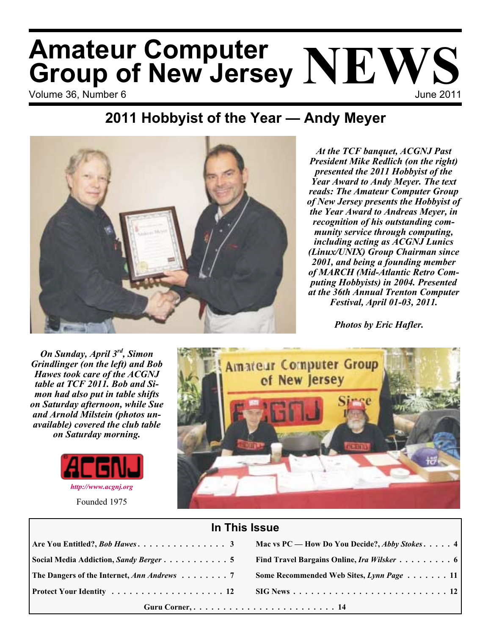# Volume 36, Number 6 June 2011 **Amateur Computer Group of New Jersey NEWS**

### **2011 Hobbyist of the Year — Andy Meyer**



*At the TCF banquet, ACGNJ Past President Mike Redlich (on the right) presented the 2011 Hobbyist of the Year Award to Andy Meyer. The text reads: The Amateur Computer Group of New Jersey presents the Hobbyist of the Year Award to Andreas Meyer, in recognition of his outstanding community service through computing, including acting as ACGNJ Lunics (Linux/UNIX) Group Chairman since 2001, and being a founding member of MARCH (Mid-Atlantic Retro Computing Hobbyists) in 2004. Presented at the 36th Annual Trenton Computer Festival, April 01-03, 2011.*

*Photos by Eric Hafler.*

*On Sunday, April 3rd, Simon Grindlinger (on the left) and Bob Hawes took care of the ACGNJ table at TCF 2011. Bob and Simon had also put in table shifts on Saturday afternoon, while Sue and Arnold Milstein (photos unavailable) covered the club table on Saturday morning.*



Founded 1975



### **In This Issue**

| Guru Corner,  14                                         |                                                      |
|----------------------------------------------------------|------------------------------------------------------|
|                                                          |                                                      |
| The Dangers of the Internet, Ann Andrews $\dots \dots$ 7 | Some Recommended Web Sites, Lynn Page 11             |
|                                                          |                                                      |
|                                                          | Mac vs PC — How Do You Decide?, <i>Abby Stokes</i> 4 |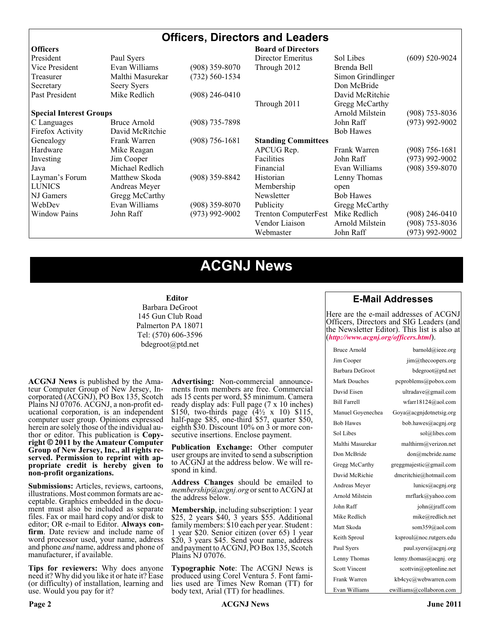### **Officers, Directors and Leaders**

| <b>Officers</b>                |                  |                    | <b>Board of Directors</b>   |                   |                    |
|--------------------------------|------------------|--------------------|-----------------------------|-------------------|--------------------|
| President                      | Paul Syers       |                    | Director Emeritus           | Sol Libes         | $(609)$ 520-9024   |
| Vice President                 | Evan Williams    | $(908)$ 359-8070   | Through 2012                | Brenda Bell       |                    |
| Treasurer                      | Malthi Masurekar | (732) 560-1534     |                             | Simon Grindlinger |                    |
| Secretary                      | Seery Syers      |                    |                             | Don McBride       |                    |
| Past President                 | Mike Redlich     | $(908)$ 246-0410   |                             | David McRitchie   |                    |
|                                |                  |                    | Through 2011                | Gregg McCarthy    |                    |
| <b>Special Interest Groups</b> |                  |                    |                             | Arnold Milstein   | $(908)$ 753-8036   |
| C Languages                    | Bruce Arnold     | $(908)$ 735-7898   |                             | John Raff         | $(973)$ 992-9002   |
| Firefox Activity               | David McRitchie  |                    |                             | <b>Bob Hawes</b>  |                    |
| Genealogy                      | Frank Warren     | $(908) 756 - 1681$ | <b>Standing Committees</b>  |                   |                    |
| Hardware                       | Mike Reagan      |                    | APCUG Rep.                  | Frank Warren      | $(908) 756 - 1681$ |
| Investing                      | Jim Cooper       |                    | Facilities                  | John Raff         | $(973)$ 992-9002   |
| Java                           | Michael Redlich  |                    | Financial                   | Evan Williams     | $(908)$ 359-8070   |
| Layman's Forum                 | Matthew Skoda    | $(908)$ 359-8842   | Historian                   | Lenny Thomas      |                    |
| <b>LUNICS</b>                  | Andreas Meyer    |                    | Membership                  | open              |                    |
| NJ Gamers                      | Gregg McCarthy   |                    | Newsletter                  | <b>Bob Hawes</b>  |                    |
| WebDev                         | Evan Williams    | $(908)$ 359-8070   | Publicity                   | Gregg McCarthy    |                    |
| <b>Window Pains</b>            | John Raff        | $(973)$ 992-9002   | <b>Trenton ComputerFest</b> | Mike Redlich      | $(908)$ 246-0410   |
|                                |                  |                    | Vendor Liaison              | Arnold Milstein   | $(908)$ 753-8036   |
|                                |                  |                    | Webmaster                   | John Raff         | $(973)$ 992-9002   |

### **ACGNJ News**

#### **Editor**

Barbara DeGroot 145 Gun Club Road Palmerton PA 18071 Tel: (570) 606-3596 bdegroot@ptd.net

**ACGNJ News** is published by the Ama- teur Computer Group of New Jersey, In- corporated (ACGNJ), PO Box 135, Scotch Plains NJ 07076. ACGNJ, a non-profit ed-<br>ucational corporation, is an independent computer user group. Opinions expressed herein are solely those of the individual author or editor. This publication is **Copy-**<br>**right**  $\bigcirc$  2011 by the Amateur Computer<br>**Group of New Jersey, Inc., all rights re-Group of New Jersey, Inc., all rights re- served. Permission to reprint with ap- propriate credit is hereby given to non-profit organizations.**

**Submissions:** Articles, reviews, cartoons, illustrations. Most common formats are ac- ceptable. Graphics embedded in the docu- ment must also be included as separate files. Fax or mail hard copy and/or disk to editor; OR e-mail to Editor. Always confirm. Date review and include name of word processor used, your name, address and phone *and* name, address and phone of manufacturer, if available.

**Tips for reviewers:** Why does anyone need it? Why did you like it or hate it? Ease (or difficulty) of installation, learning and use. Would you pay for it?

**Advertising:** Non-commercial announce- ments from members are free. Commercial ads 15 cents per word, \$5 minimum. Camera ready display ads: Full page (7 x 10 inches) \$150, two-thirds page  $(4\frac{1}{2} \times 10)$  \$115, half-page \$85, one-third \$57, quarter \$50, eighth \$30. Discount 10% on 3 or more con- secutive insertions. Enclose payment.

**Publication Exchange:** Other computer user groups are invited to send a subscription to ACGNJ at the address below. We will re- spond in kind.

**Address Changes** should be emailed to *membership@acgnj.org* or sent to ACGNJ at the address below.

**Membership**, including subscription: 1 year \$25, 2 years \$40, 3 years \$55. Additional family members: \$10 each per year. Student : 1 year \$20. Senior citizen (over 65) 1 year \$20, 3 years \$45. Send your name, address and payment to ACGNJ, PO Box 135, Scotch Plains NJ 07076.

**Typographic Note**: The ACGNJ News is produced using Corel Ventura 5. Font fami- lies used are Times New Roman (TT) for body text, Arial (TT) for headlines.

### **E-Mail Addresses**

Here are the e-mail addresses of ACGNJ Officers, Directors and SIG Leaders (and the Newsletter Editor). This list is also at (*<http://www.acgnj.org/officers.html>*).

| Bruce Arnold         | barnold@ieee.org                     |
|----------------------|--------------------------------------|
| Jim Cooper           | jim@thecoopers.org                   |
| Barbara DeGroot      | bdegroot@ptd.net                     |
| Mark Douches         | pcproblems@pobox.com                 |
| David Eisen          | ultradave@gmail.com                  |
| <b>Bill Farrell</b>  | wfarr18124@aol.com                   |
| Manuel Goyenechea    | Goya@acgnidotnetsig.org              |
| <b>Bob Hawes</b>     | bob.hawes@acgnj.org                  |
| Sol Libes            | sol@libes.com                        |
| Malthi Masurekar     | malthirm@verizon.net                 |
| Don McBride          | don@mcbride.name                     |
| Gregg McCarthy       | greggmajestic@gmail.com              |
| David McRichie       | dmcritchie@hotmail.com               |
| Andreas Meyer        | lunics@acgnj.org                     |
| Arnold Milstein      | mrflark@yahoo.com                    |
| John Raff            | $\overline{\text{iohn}(a)}$ raff.com |
| Mike Redlich         | mike@redlich.net                     |
| Matt Skoda           | som359@aol.com                       |
| Keith Sproul         | ksproul@noc.rutgers.edu              |
| Paul Syers           | paul.syers@acgnj.org                 |
| Lenny Thomas         | lenny.thomas@acgnj.org               |
| <b>Scott Vincent</b> | scottvin@optonline.net               |
| Frank Warren         | kb4cyc@webwarren.com                 |
| Evan Williams        | ewilliams@collaboron.com             |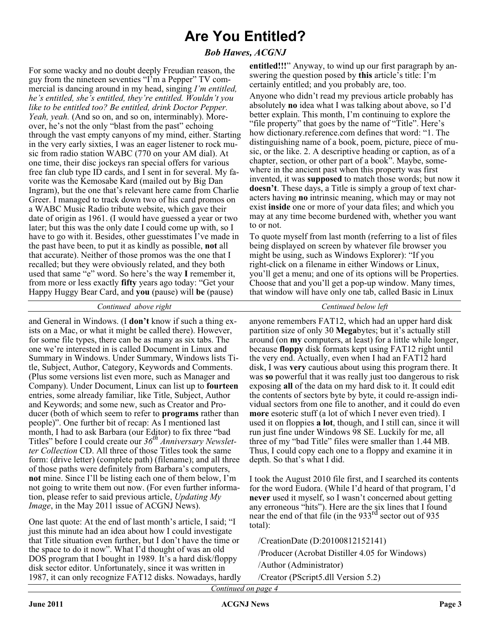### **Are You Entitled?**

### *Bob Hawes, ACGNJ*

For some wacky and no doubt deeply Freudian reason, the guy from the nineteen seventies "I'm a Pepper" TV commercial is dancing around in my head, singing *I'm entitled, he's entitled, she's entitled, they're entitled. Wouldn't you like to be entitled too? Be entitled, drink Doctor Pepper. Yeah, yeah.* (And so on, and so on, interminably). Moreover, he's not the only "blast from the past" echoing through the vast empty canyons of my mind, either. Starting in the very early sixties, I was an eager listener to rock music from radio station WABC (770 on your AM dial). At one time, their disc jockeys ran special offers for various free fan club type ID cards, and I sent in for several. My favorite was the Kemosabe Kard (mailed out by Big Dan Ingram), but the one that's relevant here came from Charlie Greer. I managed to track down two of his card promos on a WABC Music Radio tribute website, which gave their date of origin as 1961. (I would have guessed a year or two later; but this was the only date I could come up with, so I have to go with it. Besides, other guesstimates I've made in the past have been, to put it as kindly as possible, **not** all that accurate). Neither of those promos was the one that I recalled; but they were obviously related, and they both used that same "e" word. So here's the way **I** remember it, from more or less exactly **fifty** years ago today: "Get your Happy Huggy Bear Card, and **you** (pause) will **be** (pause)

**entitled!!!**" Anyway, to wind up our first paragraph by answering the question posed by **this** article's title: I'm certainly entitled; and you probably are, too.

Anyone who didn't read my previous article probably has absolutely **no** idea what I was talking about above, so I'd better explain. This month, I'm continuing to explore the "file property" that goes by the name of "Title". Here's how dictionary.reference.com defines that word: "1. The distinguishing name of a book, poem, picture, piece of music, or the like. 2. A descriptive heading or caption, as of a chapter, section, or other part of a book". Maybe, somewhere in the ancient past when this property was first invented, it was **supposed** to match those words; but now it **doesn't**. These days, a Title is simply a group of text characters having **no** intrinsic meaning, which may or may not exist **inside** one or more of your data files; and which you may at any time become burdened with, whether you want to or not.

To quote myself from last month (referring to a list of files being displayed on screen by whatever file browser you might be using, such as Windows Explorer): "If you right-click on a filename in either Windows or Linux, you'll get a menu; and one of its options will be Properties. Choose that and you'll get a pop-up window. Many times, that window will have only one tab, called Basic in Linux

*Continued above right Centinued below left*

and General in Windows. (I **don't** know if such a thing exists on a Mac, or what it might be called there). However, for some file types, there can be as many as six tabs. The one we're interested in is called Document in Linux and Summary in Windows. Under Summary, Windows lists Title, Subject, Author, Category, Keywords and Comments. (Plus some versions list even more, such as Manager and Company). Under Document, Linux can list up to **fourteen** entries, some already familiar, like Title, Subject, Author and Keywords; and some new, such as Creator and Producer (both of which seem to refer to **programs** rather than people)". One further bit of recap: As I mentioned last month, I had to ask Barbara (our Editor) to fix three "bad Titles" before I could create our *36th Anniversary Newsletter Collection* CD. All three of those Titles took the same form: (drive letter) (complete path) (filename); and all three of those paths were definitely from Barbara's computers, **not** mine. Since I'll be listing each one of them below, I'm not going to write them out now. (For even further information, please refer to said previous article, *Updating My Image*, in the May 2011 issue of ACGNJ News).

One last quote: At the end of last month's article, I said; "I just this minute had an idea about how I could investigate that Title situation even further, but I don't have the time or the space to do it now". What I'd thought of was an old DOS program that I bought in 1989. It's a hard disk/floppy disk sector editor. Unfortunately, since it was written in 1987, it can only recognize FAT12 disks. Nowadays, hardly

anyone remembers FAT12, which had an upper hard disk partition size of only 30 **Mega**bytes; but it's actually still around (on **my** computers, at least) for a little while longer, because **floppy** disk formats kept using FAT12 right until the very end. Actually, even when I had an FAT12 hard disk, I was **very** cautious about using this program there. It was **so** powerful that it was really just too dangerous to risk exposing **all** of the data on my hard disk to it. It could edit the contents of sectors byte by byte, it could re-assign individual sectors from one file to another, and it could do even **more** esoteric stuff (a lot of which I never even tried). I used it on floppies **a lot**, though, and I still can, since it will run just fine under Windows 98 SE. Luckily for me, all three of my "bad Title" files were smaller than 1.44 MB. Thus, I could copy each one to a floppy and examine it in depth. So that's what I did.

I took the August 2010 file first, and I searched its contents for the word Eudora. (While I'd heard of that program, I'd **never** used it myself, so I wasn't concerned about getting any erroneous "hits"). Here are the six lines that I found near the end of that file (in the  $933<sup>rd</sup>$  sector out of 935 total):

/CreationDate (D:20100812152141)

/Producer (Acrobat Distiller 4.05 for Windows)

/Author (Administrator)

/Creator (PScript5.dll Version 5.2)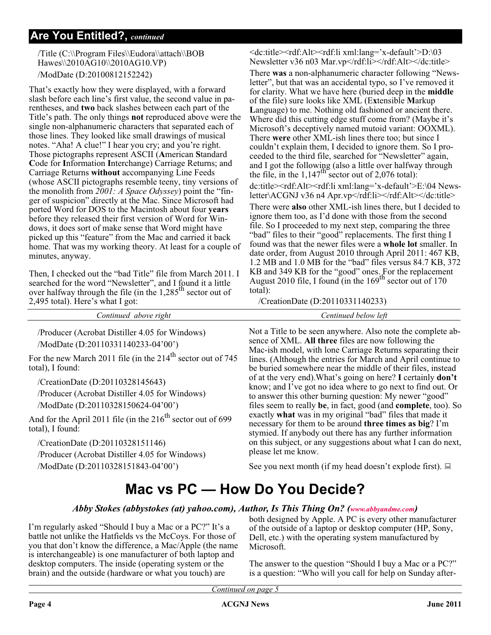### **Are You Entitled?,** *continued*

/Title (C:\\Program Files\\Eudora\\attach\\BOB Hawes\\2010AG10\\2010AG10.VP) /ModDate (D:20100812152242)

That's exactly how they were displayed, with a forward slash before each line's first value, the second value in parentheses, and **two** back slashes between each part of the Title's path. The only things **not** reproduced above were the single non-alphanumeric characters that separated each of those lines. They looked like small drawings of musical notes. "Aha! A clue!" I hear you cry; and you're right. Those pictographs represent ASCII (**A**merican **S**tandard **C**ode for **I**nformation **I**nterchange) Carriage Returns; and Carriage Returns **without** accompanying Line Feeds (whose ASCII pictographs resemble teeny, tiny versions of the monolith from *2001: A Space Odyssey*) point the "finger of suspicion" directly at the Mac. Since Microsoft had ported Word for DOS to the Macintosh about four **years** before they released their first version of Word for Windows, it does sort of make sense that Word might have picked up this "feature" from the Mac and carried it back home. That was my working theory. At least for a couple of minutes, anyway.

Then, I checked out the "bad Title" file from March 2011. I searched for the word "Newsletter", and I found it a little over halfway through the file (in the 1,285<sup>th</sup> sector out of 2,495 total). Here's what I got:

For the new March 2011 file (in the  $214<sup>th</sup>$  sector out of 745

/Producer (Acrobat Distiller 4.05 for Windows)

/Producer (Acrobat Distiller 4.05 for Windows)

/Producer (Acrobat Distiller 4.05 for Windows)

And for the April 2011 file (in the  $216<sup>th</sup>$  sector out of 699

/ModDate (D:20110331140233-04'00')

/CreationDate (D:20110328145643)

/CreationDate (D:20110328151146)

/ModDate (D:20110328151843-04'00')

/ModDate (D:20110328150624-04'00')

total), I found:

total), I found:

<dc:title><rdf:Alt><rdf:li xml:lang='x-default'>D:\03 Newsletter v36 n03 Mar.vp</rdf:li></rdf:Alt></dc:title>

/CreationDate (D:20110331140233)

*Continued above right Centinued below left*

Not a Title to be seen anywhere. Also note the complete absence of XML. **All three** files are now following the Mac-ish model, with lone Carriage Returns separating their lines. (Although the entries for March and April continue to be buried somewhere near the middle of their files, instead of at the very end).What's going on here? **I** certainly **don't** know; and I've got no idea where to go next to find out. Or to answer this other burning question: My newer "good" files seem to really **be**, in fact, good (and **complete**, too). So exactly **what** was in my original "bad" files that made it necessary for them to be around **three times as big**? I'm stymied. If anybody out there has any further information on this subject, or any suggestions about what I can do next, please let me know.

See you next month (if my head doesn't explode first).  $\Box$ 

### **Mac vs PC — How Do You Decide?**

### *Abby Stokes (abbystokes (at) yahoo.com), Author, Is This Thing On? ([www.abbyandme.com](http://www.abbyandme.com))*

I'm regularly asked "Should I buy a Mac or a PC?" It's a battle not unlike the Hatfields vs the McCoys. For those of you that don't know the difference, a Mac/Apple (the name is interchangeable) is one manufacturer of both laptop and desktop computers. The inside (operating system or the brain) and the outside (hardware or what you touch) are

both designed by Apple. A PC is every other manufacturer of the outside of a laptop or desktop computer (HP, Sony, Dell, etc.) with the operating system manufactured by Microsoft.

The answer to the question "Should I buy a Mac or a PC?" is a question: "Who will you call for help on Sunday after-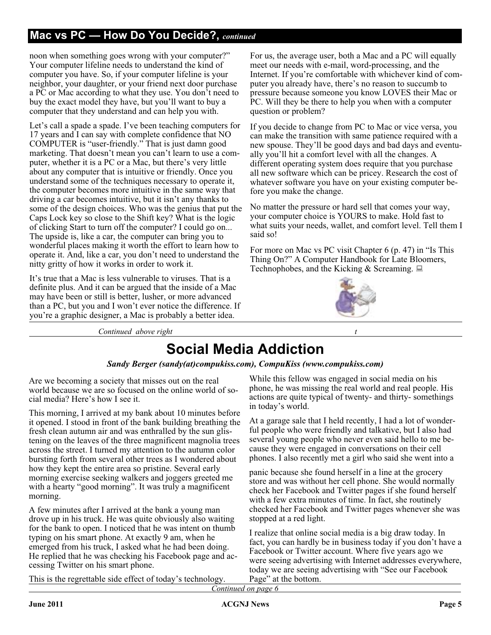### **Mac vs PC — How Do You Decide?,** *continued*

noon when something goes wrong with your computer?" Your computer lifeline needs to understand the kind of computer you have. So, if your computer lifeline is your neighbor, your daughter, or your friend next door purchase a PC or Mac according to what they use. You don't need to buy the exact model they have, but you'll want to buy a computer that they understand and can help you with.

Let's call a spade a spade. I've been teaching computers for 17 years and I can say with complete confidence that NO COMPUTER is "user-friendly." That is just damn good marketing. That doesn't mean you can't learn to use a computer, whether it is a PC or a Mac, but there's very little about any computer that is intuitive or friendly. Once you understand some of the techniques necessary to operate it, the computer becomes more intuitive in the same way that driving a car becomes intuitive, but it isn't any thanks to some of the design choices. Who was the genius that put the Caps Lock key so close to the Shift key? What is the logic of clicking Start to turn off the computer? I could go on... The upside is, like a car, the computer can bring you to wonderful places making it worth the effort to learn how to operate it. And, like a car, you don't need to understand the nitty gritty of how it works in order to work it.

It's true that a Mac is less vulnerable to viruses. That is a definite plus. And it can be argued that the inside of a Mac may have been or still is better, lusher, or more advanced than a PC, but you and I won't ever notice the difference. If you're a graphic designer, a Mac is probably a better idea.

For us, the average user, both a Mac and a PC will equally meet our needs with e-mail, word-processing, and the Internet. If you're comfortable with whichever kind of computer you already have, there's no reason to succumb to pressure because someone you know LOVES their Mac or PC. Will they be there to help you when with a computer question or problem?

If you decide to change from PC to Mac or vice versa, you can make the transition with same patience required with a new spouse. They'll be good days and bad days and eventually you'll hit a comfort level with all the changes. A different operating system does require that you purchase all new software which can be pricey. Research the cost of whatever software you have on your existing computer before you make the change.

No matter the pressure or hard sell that comes your way, your computer choice is YOURS to make. Hold fast to what suits your needs, wallet, and comfort level. Tell them I said so!

For more on Mac vs PC visit Chapter 6 (p. 47) in "Is This Thing On?" A Computer Handbook for Late Bloomers, Technophobes, and the Kicking & Screaming.  $\Box$ 



*Continued above right* 

## **Social Media Addiction**

### *Sandy Berger (sandy(at)compukiss.com), CompuKiss (www.compukiss.com)*

Are we becoming a society that misses out on the real world because we are so focused on the online world of social media? Here's how I see it.

This morning, I arrived at my bank about 10 minutes before it opened. I stood in front of the bank building breathing the fresh clean autumn air and was enthralled by the sun glistening on the leaves of the three magnificent magnolia trees across the street. I turned my attention to the autumn color bursting forth from several other trees as I wondered about how they kept the entire area so pristine. Several early morning exercise seeking walkers and joggers greeted me with a hearty "good morning". It was truly a magnificent morning.

A few minutes after I arrived at the bank a young man drove up in his truck. He was quite obviously also waiting for the bank to open. I noticed that he was intent on thumb typing on his smart phone. At exactly 9 am, when he emerged from his truck, I asked what he had been doing. He replied that he was checking his Facebook page and accessing Twitter on his smart phone.

This is the regrettable side effect of today's technology.

While this fellow was engaged in social media on his phone, he was missing the real world and real people. His actions are quite typical of twenty- and thirty- somethings in today's world.

At a garage sale that I held recently, I had a lot of wonderful people who were friendly and talkative, but I also had several young people who never even said hello to me because they were engaged in conversations on their cell phones. I also recently met a girl who said she went into a

panic because she found herself in a line at the grocery store and was without her cell phone. She would normally check her Facebook and Twitter pages if she found herself with a few extra minutes of time. In fact, she routinely checked her Facebook and Twitter pages whenever she was stopped at a red light.

I realize that online social media is a big draw today. In fact, you can hardly be in business today if you don't have a Facebook or Twitter account. Where five years ago we were seeing advertising with Internet addresses everywhere, today we are seeing advertising with "See our Facebook Page" at the bottom.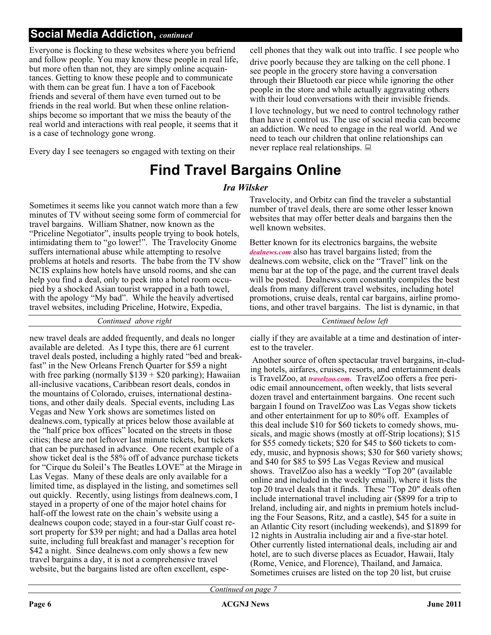### **Social Media Addiction,** *continued*

Everyone is flocking to these websites where you befriend and follow people. You may know these people in real life, but more often than not, they are simply online acquaintances. Getting to know these people and to communicate with them can be great fun. I have a ton of Facebook friends and several of them have even turned out to be friends in the real world. But when these online relationships become so important that we miss the beauty of the real world and interactions with real people, it seems that it is a case of technology gone wrong.

Every day I see teenagers so engaged with texting on their

### **Find Travel Bargains Online**

### *Ira Wilsker*

Sometimes it seems like you cannot watch more than a few minutes of TV without seeing some form of commercial for travel bargains. William Shatner, now known as the "Priceline Negotiator", insults people trying to book hotels, intimidating them to "go lower!". The Travelocity Gnome suffers international abuse while attempting to resolve problems at hotels and resorts. The babe from the TV show NCIS explains how hotels have unsold rooms, and she can help you find a deal, only to peek into a hotel room occupied by a shocked Asian tourist wrapped in a bath towel, with the apology "My bad". While the heavily advertised travel websites, including Priceline, Hotwire, Expedia,

*Continued above right Centinued below left*

new travel deals are added frequently, and deals no longer available are deleted. As I type this, there are 61 current travel deals posted, including a highly rated "bed and breakfast" in the New Orleans French Quarter for \$59 a night with free parking (normally  $$139 + $20$  parking); Hawaiian all-inclusive vacations, Caribbean resort deals, condos in the mountains of Colorado, cruises, international destinations, and other daily deals. Special events, including Las Vegas and New York shows are sometimes listed on dealnews.com, typically at prices below those available at the "half price box offices" located on the streets in those cities; these are not leftover last minute tickets, but tickets that can be purchased in advance. One recent example of a show ticket deal is the 58% off of advance purchase tickets for "Cirque du Soleil's The Beatles LOVE" at the Mirage in Las Vegas. Many of these deals are only available for a limited time, as displayed in the listing, and sometimes sell out quickly. Recently, using listings from dealnews.com, I stayed in a property of one of the major hotel chains for half-off the lowest rate on the chain's website using a dealnews coupon code; stayed in a four-star Gulf coast resort property for \$39 per night; and had a Dallas area hotel suite, including full breakfast and manager's reception for \$42 a night. Since dealnews.com only shows a few new travel bargains a day, it is not a comprehensive travel website, but the bargains listed are often excellent, espe-

Travelocity, and Orbitz can find the traveler a substantial number of travel deals, there are some other lesser known websites that may offer better deals and bargains then the well known websites.

never replace real relationships.  $\Box$ 

cell phones that they walk out into traffic. I see people who drive poorly because they are talking on the cell phone. I see people in the grocery store having a conversation through their Bluetooth ear piece while ignoring the other people in the store and while actually aggravating others with their loud conversations with their invisible friends. I love technology, but we need to control technology rather than have it control us. The use of social media can become an addiction. We need to engage in the real world. And we need to teach our children that online relationships can

Better known for its electronics bargains, the website *[dealnews.com](http://dealnews.com)* also has travel bargains listed; from the dealnews.com website, click on the "Travel" link on the menu bar at the top of the page, and the current travel deals will be posted. Dealnews.com constantly compiles the best deals from many different travel websites, including hotel promotions, cruise deals, rental car bargains, airline promotions, and other travel bargains. The list is dynamic, in that

cially if they are available at a time and destination of interest to the traveler.

Another source of often spectacular travel bargains, in-cluding hotels, airfares, cruises, resorts, and entertainment deals is TravelZoo, at *[travelzoo.com](http://travelzoo.com)*. TravelZoo offers a free periodic email announcement, often weekly, that lists several dozen travel and entertainment bargains. One recent such bargain I found on TravelZoo was Las Vegas show tickets and other entertainment for up to 80% off. Examples of this deal include \$10 for \$60 tickets to comedy shows, musicals, and magic shows (mostly at off-Strip locations); \$15 for \$55 comedy tickets; \$20 for \$45 to \$60 tickets to comedy, music, and hypnosis shows; \$30 for \$60 variety shows; and \$40 for \$85 to \$95 Las Vegas Review and musical shows. TravelZoo also has a weekly "Top 20" (available online and included in the weekly email), where it lists the top 20 travel deals that it finds. These "Top 20" deals often include international travel including air (\$899 for a trip to Ireland, including air, and nights in premium hotels including the Four Seasons, Ritz, and a castle), \$45 for a suite in an Atlantic City resort (including weekends), and \$1899 for 12 nights in Australia including air and a five-star hotel. Other currently listed international deals, including air and hotel, are to such diverse places as Ecuador, Hawaii, Italy (Rome, Venice, and Florence), Thailand, and Jamaica. Sometimes cruises are listed on the top 20 list, but cruise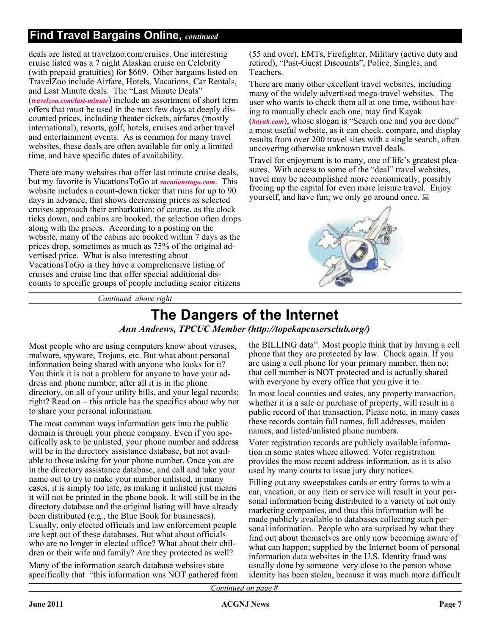### **Find Travel Bargains Online,** *continued*

deals are listed at travelzoo.com/cruises. One interesting cruise listed was a 7 night Alaskan cruise on Celebrity (with prepaid gratuities) for \$669. Other bargains listed on TravelZoo include Airfare, Hotels, Vacations, Car Rentals, and Last Minute deals. The "Last Minute Deals" (*[travelzoo.com/last-minute](http://travelzoo.com/last-minute)*) include an assortment of short term offers that must be used in the next few days at deeply discounted prices, including theater tickets, airfares (mostly international), resorts, golf, hotels, cruises and other travel and entertainment events. As is common for many travel websites, these deals are often available for only a limited time, and have specific dates of availability.

There are many websites that offer last minute cruise deals, but my favorite is VacationsToGo at *[vacationstogo.com](http://vacationstogo.com)*. This website includes a count-down ticker that runs for up to 90 days in advance, that shows decreasing prices as selected cruises approach their embarkation; of course, as the clock ticks down, and cabins are booked, the selection often drops along with the prices. According to a posting on the website, many of the cabins are booked within 7 days as the prices drop, sometimes as much as 75% of the original advertised price. What is also interesting about VacationsToGo is they have a comprehensive listing of cruises and cruise line that offer special additional discounts to specific groups of people including senior citizens

(55 and over), EMTs, Firefighter, Military (active duty and retired), "Past-Guest Discounts", Police, Singles, and Teachers.

There are many other excellent travel websites, including many of the widely advertised mega-travel websites. The user who wants to check them all at one time, without having to manually check each one, may find Kayak (*[kayak.com](http://kayak.com)*), whose slogan is "Search one and you are done" a most useful website, as it can check, compare, and display results from over 200 travel sites with a single search, often uncovering otherwise unknown travel deals.

Travel for enjoyment is to many, one of life's greatest pleasures. With access to some of the "deal" travel websites, travel may be accomplished more economically, possibly freeing up the capital for even more leisure travel. Enjoy yourself, and have fun; we only go around once.  $\Box$ 



*Continued above right*

### **The Dangers of the Internet** *Ann Andrews, TPCUC Member (http://topekapcusersclub.org/)*

Most people who are using computers know about viruses, malware, spyware, Trojans, etc. But what about personal information being shared with anyone who looks for it? You think it is not a problem for anyone to have your address and phone number; after all it is in the phone directory, on all of your utility bills, and your legal records; right? Read on – this article has the specifics about why not to share your personal information.

The most common ways information gets into the public domain is through your phone company. Even if you specifically ask to be unlisted, your phone number and address will be in the directory assistance database, but not available to those asking for your phone number. Once you are in the directory assistance database, and call and take your name out to try to make your number unlisted, in many cases, it is simply too late, as making it unlisted just means it will not be printed in the phone book. It will still be in the directory database and the original listing will have already been distributed (e.g., the Blue Book for businesses). Usually, only elected officials and law enforcement people are kept out of these databases. But what about officials who are no longer in elected office? What about their children or their wife and family? Are they protected as well?

Many of the information search database websites state specifically that "this information was NOT gathered from the BILLING data". Most people think that by having a cell phone that they are protected by law. Check again. If you are using a cell phone for your primary number, then no; that cell number is NOT protected and is actually shared with everyone by every office that you give it to.

In most local counties and states, any property transaction, whether it is a sale or purchase of property, will result in a public record of that transaction. Please note, in many cases these records contain full names, full addresses, maiden names, and listed/unlisted phone numbers.

Voter registration records are publicly available information in some states where allowed. Voter registration provides the most recent address information, as it is also used by many courts to issue jury duty notices.

Filling out any sweepstakes cards or entry forms to win a car, vacation, or any item or service will result in your personal information being distributed to a variety of not only marketing companies, and thus this information will be made publicly available to databases collecting such personal information. People who are surprised by what they find out about themselves are only now becoming aware of what can happen; supplied by the Internet boom of personal information data websites in the U.S. Identity fraud was usually done by someone very close to the person whose identity has been stolen, because it was much more difficult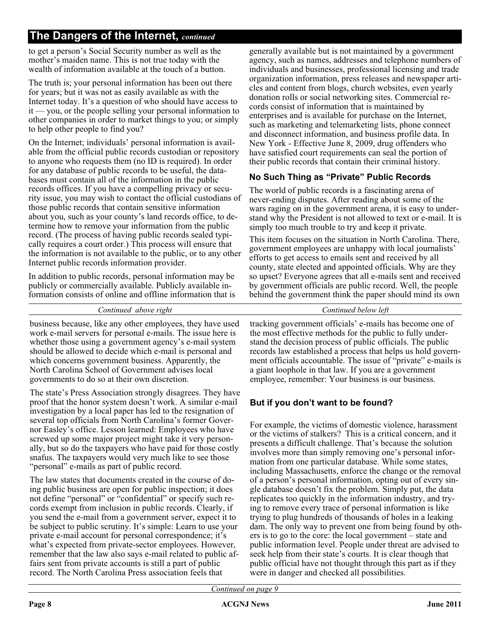to get a person's Social Security number as well as the mother's maiden name. This is not true today with the wealth of information available at the touch of a button.

The truth is; your personal information has been out there for years; but it was not as easily available as with the Internet today. It's a question of who should have access to it — you, or the people selling your personal information to other companies in order to market things to you; or simply to help other people to find you?

On the Internet; individuals' personal information is available from the official public records custodian or repository to anyone who requests them (no ID is required). In order for any database of public records to be useful, the databases must contain all of the information in the public records offices. If you have a compelling privacy or security issue, you may wish to contact the official custodians of those public records that contain sensitive information about you, such as your county's land records office, to determine how to remove your information from the public record. (The process of having public records sealed typically requires a court order.) This process will ensure that the information is not available to the public, or to any other Internet public records information provider.

In addition to public records, personal information may be publicly or commercially available. Publicly available information consists of online and offline information that is

generally available but is not maintained by a government agency, such as names, addresses and telephone numbers of individuals and businesses, professional licensing and trade organization information, press releases and newspaper articles and content from blogs, church websites, even yearly donation rolls or social networking sites. Commercial records consist of information that is maintained by enterprises and is available for purchase on the Internet, such as marketing and telemarketing lists, phone connect and disconnect information, and business profile data. In New York - Effective June 8, 2009, drug offenders who have satisfied court requirements can seal the portion of their public records that contain their criminal history.

### **No Such Thing as "Private" Public Records**

The world of public records is a fascinating arena of never-ending disputes. After reading about some of the wars raging on in the government arena, it is easy to understand why the President is not allowed to text or e-mail. It is simply too much trouble to try and keep it private.

This item focuses on the situation in North Carolina. There, government employees are unhappy with local journalists' efforts to get access to emails sent and received by all county, state elected and appointed officials. Why are they so upset? Everyone agrees that all e-mails sent and received by government officials are public record. Well, the people behind the government think the paper should mind its own

*Continued above right Continued below left*

business because, like any other employees, they have used work e-mail servers for personal e-mails. The issue here is whether those using a government agency's e-mail system should be allowed to decide which e-mail is personal and which concerns government business. Apparently, the North Carolina School of Government advises local governments to do so at their own discretion.

The state's Press Association strongly disagrees. They have proof that the honor system doesn't work. A similar e-mail investigation by a local paper has led to the resignation of several top officials from North Carolina's former Governor Easley's office. Lesson learned: Employees who have screwed up some major project might take it very personally, but so do the taxpayers who have paid for those costly snafus. The taxpayers would very much like to see those "personal" e-mails as part of public record.

The law states that documents created in the course of doing public business are open for public inspection; it does not define "personal" or "confidential" or specify such records exempt from inclusion in public records. Clearly, if you send the e-mail from a government server, expect it to be subject to public scrutiny. It's simple: Learn to use your private e-mail account for personal correspondence; it's what's expected from private-sector employees. However, remember that the law also says e-mail related to public affairs sent from private accounts is still a part of public record. The North Carolina Press association feels that

tracking government officials' e-mails has become one of the most effective methods for the public to fully understand the decision process of public officials. The public records law established a process that helps us hold government officials accountable. The issue of "private" e-mails is a giant loophole in that law. If you are a government employee, remember: Your business is our business.

### **But if you don't want to be found?**

For example, the victims of domestic violence, harassment or the victims of stalkers? This is a critical concern, and it presents a difficult challenge. That's because the solution involves more than simply removing one's personal information from one particular database. While some states, including Massachusetts, enforce the change or the removal of a person's personal information, opting out of every single database doesn't fix the problem. Simply put, the data replicates too quickly in the information industry, and trying to remove every trace of personal information is like trying to plug hundreds of thousands of holes in a leaking dam. The only way to prevent one from being found by others is to go to the core: the local government – state and public information level. People under threat are advised to seek help from their state's courts. It is clear though that public official have not thought through this part as if they were in danger and checked all possibilities.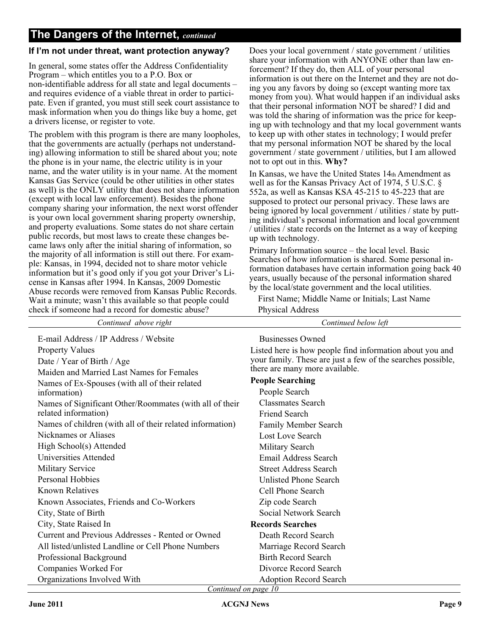### **If I'm not under threat, want protection anyway?**

In general, some states offer the Address Confidentiality Program – which entitles you to a P.O. Box or non-identifiable address for all state and legal documents – and requires evidence of a viable threat in order to participate. Even if granted, you must still seek court assistance to mask information when you do things like buy a home, get a drivers license, or register to vote.

The problem with this program is there are many loopholes, that the governments are actually (perhaps not understanding) allowing information to still be shared about you; note the phone is in your name, the electric utility is in your name, and the water utility is in your name. At the moment Kansas Gas Service (could be other utilities in other states as well) is the ONLY utility that does not share information (except with local law enforcement). Besides the phone company sharing your information, the next worst offender is your own local government sharing property ownership, and property evaluations. Some states do not share certain public records, but most laws to create these changes became laws only after the initial sharing of information, so the majority of all information is still out there. For example: Kansas, in 1994, decided not to share motor vehicle information but it's good only if you got your Driver's License in Kansas after 1994. In Kansas, 2009 Domestic Abuse records were removed from Kansas Public Records. Wait a minute; wasn't this available so that people could check if someone had a record for domestic abuse?

Does your local government / state government / utilities share your information with ANYONE other than law enforcement? If they do, then ALL of your personal information is out there on the Internet and they are not doing you any favors by doing so (except wanting more tax money from you). What would happen if an individual asks that their personal information NOT be shared? I did and was told the sharing of information was the price for keeping up with technology and that my local government wants to keep up with other states in technology; I would prefer that my personal information NOT be shared by the local government / state government / utilities, but I am allowed not to opt out in this. **Why?**

In Kansas, we have the United States 14th Amendment as well as for the Kansas Privacy Act of 1974, 5 U.S.C. § 552a, as well as Kansas KSA 45-215 to 45-223 that are supposed to protect our personal privacy. These laws are being ignored by local government / utilities / state by putting individual's personal information and local government / utilities / state records on the Internet as a way of keeping up with technology.

Primary Information source – the local level. Basic Searches of how information is shared. Some personal information databases have certain information going back 40 years, usually because of the personal information shared by the local/state government and the local utilities.

First Name; Middle Name or Initials; Last Name Physical Address

| Continued above right                                     | Continued below left                                        |
|-----------------------------------------------------------|-------------------------------------------------------------|
| E-mail Address / IP Address / Website                     | Businesses Owned                                            |
| <b>Property Values</b>                                    | Listed here is how people find information about you and    |
| Date / Year of Birth / Age                                | your family. These are just a few of the searches possible, |
| Maiden and Married Last Names for Females                 | there are many more available.                              |
| Names of Ex-Spouses (with all of their related            | <b>People Searching</b>                                     |
| information)                                              | People Search                                               |
| Names of Significant Other/Roommates (with all of their   | <b>Classmates Search</b>                                    |
| related information)                                      | <b>Friend Search</b>                                        |
| Names of children (with all of their related information) | <b>Family Member Search</b>                                 |
| Nicknames or Aliases                                      | Lost Love Search                                            |
| High School(s) Attended                                   | Military Search                                             |
| Universities Attended                                     | Email Address Search                                        |
| <b>Military Service</b>                                   | <b>Street Address Search</b>                                |
| Personal Hobbies                                          | <b>Unlisted Phone Search</b>                                |
| <b>Known Relatives</b>                                    | Cell Phone Search                                           |
| Known Associates, Friends and Co-Workers                  | Zip code Search                                             |
| City, State of Birth                                      | Social Network Search                                       |
| City, State Raised In                                     | <b>Records Searches</b>                                     |
| Current and Previous Addresses - Rented or Owned          | Death Record Search                                         |
| All listed/unlisted Landline or Cell Phone Numbers        | Marriage Record Search                                      |
| Professional Background                                   | <b>Birth Record Search</b>                                  |
| Companies Worked For                                      | Divorce Record Search                                       |
| Organizations Involved With                               | <b>Adoption Record Search</b>                               |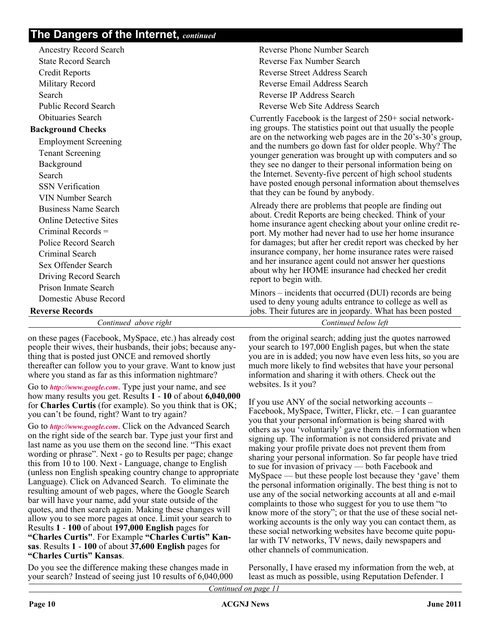| <b>Ancestry Record Search</b> | Reverse Phone Number Search                                                                                          |
|-------------------------------|----------------------------------------------------------------------------------------------------------------------|
| <b>State Record Search</b>    | Reverse Fax Number Search                                                                                            |
| <b>Credit Reports</b>         | <b>Reverse Street Address Search</b>                                                                                 |
| Military Record               | Reverse Email Address Search                                                                                         |
| Search                        | Reverse IP Address Search                                                                                            |
| <b>Public Record Search</b>   | Reverse Web Site Address Search                                                                                      |
| <b>Obituaries Search</b>      | Currently Facebook is the largest of 250+ social network-                                                            |
| <b>Background Checks</b>      | ing groups. The statistics point out that usually the people                                                         |
| <b>Employment Screening</b>   | are on the networking web pages are in the 20's-30's group,                                                          |
| <b>Tenant Screening</b>       | and the numbers go down fast for older people. Why? The<br>younger generation was brought up with computers and so   |
| Background                    | they see no danger to their personal information being on                                                            |
| Search                        | the Internet. Seventy-five percent of high school students                                                           |
| <b>SSN</b> Verification       | have posted enough personal information about themselves                                                             |
| <b>VIN Number Search</b>      | that they can be found by anybody.                                                                                   |
| <b>Business Name Search</b>   | Already there are problems that people are finding out                                                               |
| <b>Online Detective Sites</b> | about. Credit Reports are being checked. Think of your<br>home insurance agent checking about your online credit re- |
| Criminal Records $=$          | port. My mother had never had to use her home insurance                                                              |
| Police Record Search          | for damages; but after her credit report was checked by her                                                          |
| Criminal Search               | insurance company, her home insurance rates were raised                                                              |
| Sex Offender Search           | and her insurance agent could not answer her questions<br>about why her HOME insurance had checked her credit        |
| Driving Record Search         | report to begin with.                                                                                                |
| Prison Inmate Search          | Minors – incidents that occurred (DUI) records are being                                                             |
| Domestic Abuse Record         | used to deny young adults entrance to college as well as                                                             |
| <b>Reverse Records</b>        | jobs. Their futures are in jeopardy. What has been posted                                                            |
| Continued above right         | Continued below left                                                                                                 |

on these pages (Facebook, MySpace, etc.) has already cost people their wives, their husbands, their jobs; because anything that is posted just ONCE and removed shortly thereafter can follow you to your grave. Want to know just where you stand as far as this information nightmare?

Go to *<http://www.google.com>*. Type just your name, and see how many results you get. Results **1** - **10** of about **6,040,000** for **Charles Curtis** (for example). So you think that is OK; you can't be found, right? Want to try again?

Go to *<http://www.google.com>*. Click on the Advanced Search on the right side of the search bar. Type just your first and last name as you use them on the second line. "This exact wording or phrase". Next - go to Results per page; change this from 10 to 100. Next - Language, change to English (unless non English speaking country change to appropriate Language). Click on Advanced Search. To eliminate the resulting amount of web pages, where the Google Search bar will have your name, add your state outside of the quotes, and then search again. Making these changes will allow you to see more pages at once. Limit your search to Results **1** - **100** of about **197,000 English** pages for **"Charles Curtis"**. For Example **"Charles Curtis" Kansas**. Results **1** - **100** of about **37,600 English** pages for **"Charles Curtis" Kansas**.

Do you see the difference making these changes made in your search? Instead of seeing just 10 results of 6,040,000 from the original search; adding just the quotes narrowed your search to 197,000 English pages, but when the state you are in is added; you now have even less hits, so you are much more likely to find websites that have your personal information and sharing it with others. Check out the websites. Is it you?

If you use ANY of the social networking accounts – Facebook, MySpace, Twitter, Flickr, etc. – I can guarantee you that your personal information is being shared with others as you 'voluntarily' gave them this information when signing up. The information is not considered private and making your profile private does not prevent them from sharing your personal information. So far people have tried to sue for invasion of privacy — both Facebook and MySpace — but these people lost because they 'gave' them the personal information originally. The best thing is not to use any of the social networking accounts at all and e-mail complaints to those who suggest for you to use them "to know more of the story"; or that the use of these social networking accounts is the only way you can contact them, as these social networking websites have become quite popular with TV networks, TV news, daily newspapers and other channels of communication.

Personally, I have erased my information from the web, at least as much as possible, using Reputation Defender. I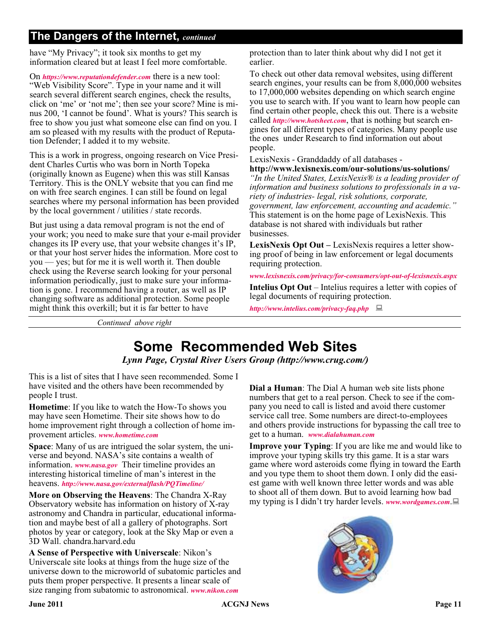have "My Privacy"; it took six months to get my information cleared but at least I feel more comfortable.

On *<https://www.reputationdefender.com>* there is a new tool: "Web Visibility Score". Type in your name and it will search several different search engines, check the results, click on 'me' or 'not me'; then see your score? Mine is minus 200, 'I cannot be found'. What is yours? This search is free to show you just what someone else can find on you. I am so pleased with my results with the product of Reputation Defender; I added it to my website.

This is a work in progress, ongoing research on Vice President Charles Curtis who was born in North Topeka (originally known as Eugene) when this was still Kansas Territory. This is the ONLY website that you can find me on with free search engines. I can still be found on legal searches where my personal information has been provided by the local government / utilities / state records.

But just using a data removal program is not the end of your work; you need to make sure that your e-mail provider changes its IP every use, that your website changes it's IP, or that your host server hides the information. More cost to you — yes; but for me it is well worth it. Then double check using the Reverse search looking for your personal information periodically, just to make sure your information is gone. I recommend having a router, as well as IP changing software as additional protection. Some people might think this overkill; but it is far better to have

protection than to later think about why did I not get it earlier.

To check out other data removal websites, using different search engines, your results can be from 8,000,000 websites to 17,000,000 websites depending on which search engine you use to search with. If you want to learn how people can find certain other people, check this out. There is a website called *<http://www.hotsheet.com>*, that is nothing but search engines for all different types of categories. Many people use the ones under Research to find information out about people.

LexisNexis - Granddaddy of all databases -

**http://www.lexisnexis.com/our-solutions/us-solutions/** *"In the United States, LexisNexis® is a leading provider of information and business solutions to professionals in a variety of industries- legal, risk solutions, corporate, government, law enforcement, accounting and academic."* This statement is on the home page of LexisNexis. This database is not shared with individuals but rather

**LexisNexis Opt Out –** LexisNexis requires a letter showing proof of being in law enforcement or legal documents requiring protection.

*[www.lexisnexis.com/privacy/for-consumers/opt-out-of-lexisnexis.aspx](http://www.lexisnexis.com/privacy/for-consumers/opt-out-of-lexisnexis.aspx)* **Intelius Opt Out** – Intelius requires a letter with copies of legal documents of requiring protection.

*<http://www.intelius.com/privacy-faq.php>*

*Continued above right*

### **Some Recommended Web Sites**

businesses.

*Lynn Page, Crystal River Users Group (http://www.crug.com/)*

This is a list of sites that I have seen recommended. Some I have visited and the others have been recommended by people I trust.

**Hometime**: If you like to watch the How-To shows you may have seen Hometime. Their site shows how to do home improvement right through a collection of home improvement articles. *[www.hometime.com](http://www.hometime.com)*

**Space**: Many of us are intrigued the solar system, the universe and beyond. NASA's site contains a wealth of information. *[www.nasa.gov](http://www.nasa.gov)* Their timeline provides an interesting historical timeline of man's interest in the heavens. *<http://www.nasa.gov/externalflash/PQTimeline/>*

**More on Observing the Heavens**: The Chandra X-Ray Observatory website has information on history of X-ray astronomy and Chandra in particular, educational information and maybe best of all a gallery of photographs. Sort photos by year or category, look at the Sky Map or even a 3D Wall. chandra.harvard.edu

**A Sense of Perspective with Universcale**: Nikon's Universcale site looks at things from the huge size of the universe down to the microworld of subatomic particles and puts them proper perspective. It presents a linear scale of size ranging from subatomic to astronomical. *[www.nikon.com](http://www.nikon.com)*

**Dial a Human**: The Dial A human web site lists phone numbers that get to a real person. Check to see if the company you need to call is listed and avoid there customer service call tree. Some numbers are direct-to-employees and others provide instructions for bypassing the call tree to get to a human. *[www.dialahuman.com](http://www.dialahuman.com)*

**Improve your Typing**: If you are like me and would like to improve your typing skills try this game. It is a star wars game where word asteroids come flying in toward the Earth and you type them to shoot them down. I only did the easiest game with well known three letter words and was able to shoot all of them down. But to avoid learning how bad my typing is I didn't try harder levels. *[www.wordgames.com](http://www.wordgames.com)*.

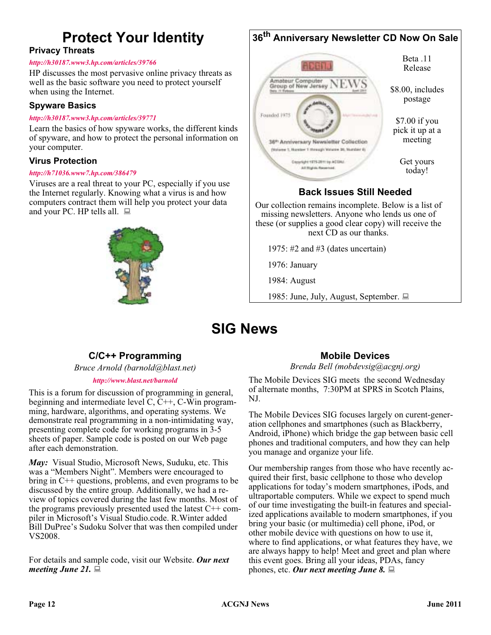## **Protect Your Identity**

### **Privacy Threats**

### *[http://h30187.www3.hp.com/articles/39766](http://h30187.www3.hp.com/articles/viewArticle/p/courseId/39766?mcid=hho_ngsept10&hhosnl=hpn_1937|760605|BD56592B8CDA47E2|FD5EDC92670F6A6A)*

HP discusses the most pervasive online privacy threats as well as the basic software you need to protect yourself when using the Internet.

### **Spyware Basics**

#### *[http://h30187.www3.hp.com/articles/39771](http://h30187.www3.hp.com/articles/viewArticle/p/courseId/39771?mcID=em15hobody&dimid=1062430490&dicid=null&jumpid=em_edm/us/sep10/smb/across-bg/newsletter/mrm/mcc/loc/hobody/model_desc )*

Learn the basics of how spyware works, the different kinds of spyware, and how to protect the personal information on your computer.

### **Virus Protection**

### *[http://h71036.www7.hp.com/386479](http://h71036.www7.hp.com/hho/cache/386479-0-0-225-121.html?JUMPID=em_TAW_US_APR10_ACROSS-BG_831922_HPGL_US_955249_9700&DIMID=1010096108&DICID=taw_May10&MRM=1-4BVUP )*

Viruses are a real threat to your PC, especially if you use the Internet regularly. Knowing what a virus is and how computers contract them will help you protect your data and your PC. HP tells all.  $\Box$ 



#### **36th Anniversary Newsletter CD Now On Sale** Beta .11 **ABB** Release Amateur Computer<br>Group of New Jersey \$8.00, includes postage Founded 1975 \$7.00 if you pick it up at a meeting 36<sup>th</sup> Anniversary Newsletter Collection (National 1, Namber 1 Hirough Watson 26, Number 8) Get yours Copyright 1975-2011 to ACGRI All Rights Reserved today! **Back Issues Still Needed**

Our collection remains incomplete. Below is a list of missing newsletters. Anyone who lends us one of these (or supplies a good clear copy) will receive the next CD as our thanks.

1975: #2 and #3 (dates uncertain)

1976: January

1984: August

1985: June, July, August, September.

### **SIG News**

### **C/C++ Programming**

*Bruce Arnold (barnold@blast.net)*

### *<http://www.blast.net/barnold>*

This is a forum for discussion of programming in general, beginning and intermediate level  $C, C++, C-W$ in programming, hardware, algorithms, and operating systems. We demonstrate real programming in a non-intimidating way, presenting complete code for working programs in 3-5 sheets of paper. Sample code is posted on our Web page after each demonstration.

*May:* Visual Studio, Microsoft News, Suduku, etc. This was a "Members Night". Members were encouraged to bring in C++ questions, problems, and even programs to be discussed by the entire group. Additionally, we had a review of topics covered during the last few months. Most of the programs previously presented used the latest C++ compiler in Microsoft's Visual Studio.code. R.Winter added Bill DuPree's Sudoku Solver that was then compiled under VS2008.

For details and sample code, visit our Website. *Our next meeting June 21.*

### **Mobile Devices**

*Brenda Bell (mobdevsig@acgnj.org)*

The Mobile Devices SIG meets the second Wednesday of alternate months, 7:30PM at SPRS in Scotch Plains, NJ.

The Mobile Devices SIG focuses largely on curent-generation cellphones and smartphones (such as Blackberry, Android, iPhone) which bridge the gap between basic cell phones and traditional computers, and how they can help you manage and organize your life.

Our membership ranges from those who have recently acquired their first, basic cellphone to those who develop applications for today's modern smartphones, iPods, and ultraportable computers. While we expect to spend much of our time investigating the built-in features and specialized applications available to modern smartphones, if you bring your basic (or multimedia) cell phone, iPod, or other mobile device with questions on how to use it, where to find applications, or what features they have, we are always happy to help! Meet and greet and plan where this event goes. Bring all your ideas, PDAs, fancy phones, etc. *Our next meeting June 8.*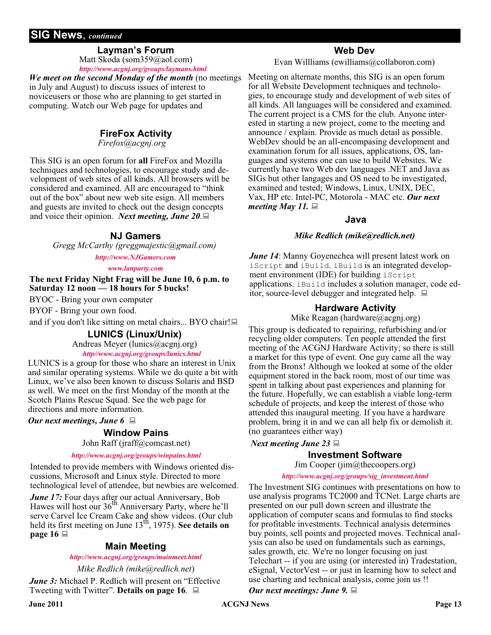### **SIG News**, *continued*

### **Layman's Forum**

Matt Skoda (som359@aol.com) *<http://www.acgnj.org/groups/laymans.html>*

*We meet on the second Monday of the month* (no meetings in July and August) to discuss issues of interest to noviceusers or those who are planning to get started in computing. Watch our Web page for updates and

### **FireFox Activity**

*Firefox@acgnj.org*

This SIG is an open forum for **all** FireFox and Mozilla techniques and technologies, to encourage study and development of web sites of all kinds. All browsers will be considered and examined. All are encouraged to "think out of the box" about new web site esign. All members and guests are invited to check out the design concepts and voice their opinion. *Next meeting, June 20*.

### **NJ Gamers**

*Gregg McCarthy (greggmajestic@gmail.com)*

*<http://www.NJGamers.com>*

*[www.lanparty.com](http://www.lanparty.com)*

**The next Friday Night Frag will be June 10, 6 p.m. to Saturday 12 noon — 18 hours for 5 bucks!**

BYOC - Bring your own computer

BYOF - Bring your own food.

and if you don't like sitting on metal chairs... BYO chair!

### **LUNICS (Linux/Unix)**

Andreas Meyer (lunics@acgnj.org) *<http//www.acgnj.org/groups/lunics.html>*

LUNICS is a group for those who share an interest in Unix and similar operating systems. While we do quite a bit with Linux, we've also been known to discuss Solaris and BSD as well. We meet on the first Monday of the month at the Scotch Plains Rescue Squad. See the web page for

*Our next meetings, June 6*

directions and more information.

### **Window Pains**

John Raff (jraff@comcast.net)

### *<http://www.acgnj.org/groups/winpains.html>*

Intended to provide members with Windows oriented discussions, Microsoft and Linux style. Directed to more technological level of attendee, but newbies are welcomed.

*June 17:* Four days after our actual Anniversary, Bob<br>Hawes will host our 36<sup>th</sup> Anniversary Party, where he'll serve Carvel Ice Cream Cake and show videos. (Our club held its first meeting on June 13th, 1975). **See details on page 16**

### **Main Meeting**

*<http://www.acgnj.org/groups/mainmeet.html>*

*Mike Redlich (mike@redlich.net*)

*June 3:* Michael P. Redlich will present on "Effective" Tweeting with Twitter". **Details on page 16**.

### **Web Dev**

Evan Willliams (ewilliams@collaboron.com)

Meeting on alternate months, this SIG is an open forum for all Website Development techniques and technologies, to encourage study and development of web sites of all kinds. All languages will be considered and examined. The current project is a CMS for the club. Anyone interested in starting a new project, come to the meeting and announce / explain. Provide as much detail as possible. WebDev should be an all-encompasing development and examination forum for all issues, applications, OS, languages and systems one can use to build Websites. We currently have two Web dev languages .NET and Java as SIGs but other langages and OS need to be investigated, examined and tested; Windows, Linux, UNIX, DEC, Vax, HP etc. Intel-PC, Motorola - MAC etc. *Our next meeting May 11.*

### **Java**

### *Mike Redlich (mike@redlich.net)*

*June 14*: Manny Goyenechea will present latest work on iScript and iBuild. iBuild is an integrated development environment (IDE) for building iscript applications. iBuild includes a solution manager, code editor, source-level debugger and integrated help.  $\Box$ 

### **Hardware Activity**

Mike Reagan (hardware@acgnj.org)

This group is dedicated to repairing, refurbishing and/or recycling older computers. Ten people attended the first meeting of the ACGNJ Hardware Activity; so there is still a market for this type of event. One guy came all the way from the Bronx! Although we looked at some of the older equipment stored in the back room, most of our time was spent in talking about past experiences and planning for the future. Hopefully, we can establish a viable long-term schedule of projects, and keep the interest of those who attended this inaugural meeting. If you have a hardware problem, bring it in and we can all help fix or demolish it. (no guarantees either way)

### *Next meeting June 23*

### **Investment Software**

Jim Cooper (jim@thecoopers.org)

### *[http://www.acgnj.org/groups/sig\\_investment.html](http://www.acgnj.org/groups/sig_investment.html)*

The Investment SIG continues with presentations on how to use analysis programs TC2000 and TCNet. Large charts are presented on our pull down screen and illustrate the application of computer scans and formulas to find stocks for profitable investments. Technical analysis determines buy points, sell points and projected moves. Technical analysis can also be used on fundamentals such as earnings, sales growth, etc. We're no longer focusing on just Telechart -- if you are using (or interested in) Tradestation, eSignal, VectorVest -- or just in learning how to select and use charting and technical analysis, come join us !!

*Our next meetings: June 9.*

**June 2011 CONS Page 13 Page 13 Page 13**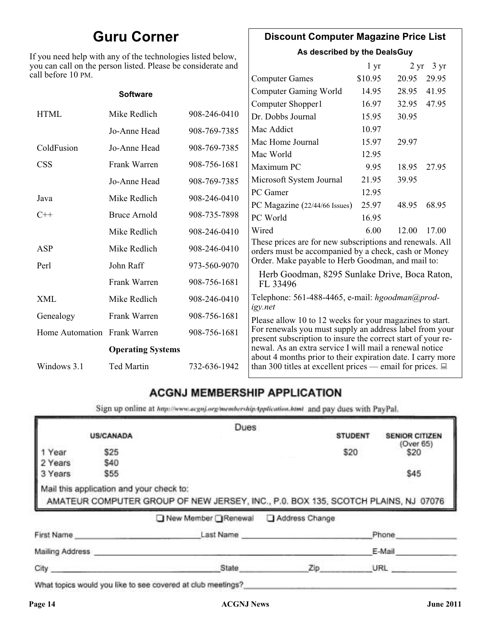### **Guru Corner**

If you need help with any of the technologies listed below, you can call on the person listed. Please be considerate and ca

### **Discount Computer Magazine Price List**

**As described by the DealsGuy**

|                                                          | ou can call on the person listed. Please be considerate and |              |                                                                                                                         | 1 <sub>yr</sub> |       | $2 \text{ yr}$ 3 yr |
|----------------------------------------------------------|-------------------------------------------------------------|--------------|-------------------------------------------------------------------------------------------------------------------------|-----------------|-------|---------------------|
| ll before 10 PM.                                         |                                                             |              | <b>Computer Games</b>                                                                                                   | \$10.95         | 20.95 | 29.95               |
|                                                          | <b>Software</b>                                             |              | <b>Computer Gaming World</b>                                                                                            | 14.95           | 28.95 | 41.95               |
|                                                          |                                                             |              | Computer Shopper1                                                                                                       | 16.97           | 32.95 | 47.95               |
| <b>HTML</b>                                              | Mike Redlich                                                | 908-246-0410 | Dr. Dobbs Journal                                                                                                       | 15.95           | 30.95 |                     |
|                                                          | Jo-Anne Head                                                | 908-769-7385 | Mac Addict                                                                                                              | 10.97           |       |                     |
| ColdFusion                                               | Jo-Anne Head                                                | 908-769-7385 | Mac Home Journal                                                                                                        | 15.97           | 29.97 |                     |
|                                                          |                                                             |              | Mac World                                                                                                               | 12.95           |       |                     |
| CSS                                                      | Frank Warren                                                | 908-756-1681 | Maximum PC                                                                                                              | 9.95            | 18.95 | 27.95               |
|                                                          | Jo-Anne Head                                                | 908-769-7385 | Microsoft System Journal                                                                                                | 21.95           | 39.95 |                     |
| Java                                                     | Mike Redlich                                                | 908-246-0410 | PC Gamer                                                                                                                | 12.95           |       |                     |
|                                                          |                                                             |              | PC Magazine (22/44/66 Issues)                                                                                           | 25.97           | 48.95 | 68.95               |
| $C++$                                                    | <b>Bruce Arnold</b>                                         | 908-735-7898 | PC World                                                                                                                | 16.95           |       |                     |
|                                                          | Mike Redlich                                                | 908-246-0410 | Wired                                                                                                                   | 6.00            | 12.00 | 17.00               |
| ASP                                                      | Mike Redlich                                                | 908-246-0410 | These prices are for new subscriptions and renewals. All<br>orders must be accompanied by a check, cash or Money        |                 |       |                     |
| Perl                                                     | John Raff                                                   | 973-560-9070 | Order. Make payable to Herb Goodman, and mail to:                                                                       |                 |       |                     |
|                                                          | Frank Warren                                                | 908-756-1681 | Herb Goodman, 8295 Sunlake Drive, Boca Raton,<br>FL 33496                                                               |                 |       |                     |
| XML                                                      | Mike Redlich                                                | 908-246-0410 | Telephone: 561-488-4465, e-mail: hgoodman@prod-<br>igy.net                                                              |                 |       |                     |
| Genealogy                                                | Frank Warren                                                | 908-756-1681 | Please allow 10 to 12 weeks for your magazines to start.                                                                |                 |       |                     |
| Home Automation Frank Warren<br><b>Operating Systems</b> |                                                             | 908-756-1681 | For renewals you must supply an address label from your<br>present subscription to insure the correct start of your re- |                 |       |                     |
|                                                          |                                                             |              | newal. As an extra service I will mail a renewal notice<br>about 4 months prior to their expiration date. I carry more  |                 |       |                     |
| Windows 3.1                                              | Ted Martin                                                  | 732-636-1942 | than 300 titles at excellent prices — email for prices. $\Box$                                                          |                 |       |                     |

### **ACGNJ MEMBERSHIP APPLICATION**

Sign up online at http://www.acguj.org/membershipApplication.html and pay dues with PayPal.

|                 |                                          | Dues                                                                              |           |                |                       |
|-----------------|------------------------------------------|-----------------------------------------------------------------------------------|-----------|----------------|-----------------------|
|                 | <b>US/CANADA</b>                         |                                                                                   |           | <b>STUDENT</b> | <b>SENIOR CITIZEN</b> |
| 1 Year          | \$25                                     |                                                                                   |           | \$20           | (Over 65)<br>\$20     |
| 2 Years         | \$40                                     |                                                                                   |           |                |                       |
| 3 Years         | \$55                                     |                                                                                   |           |                | \$45                  |
|                 | Mail this application and your check to: | AMATEUR COMPUTER GROUP OF NEW JERSEY, INC., P.0. BOX 135, SCOTCH PLAINS, NJ 07076 |           |                |                       |
|                 |                                          | New Member Renewal Address Change                                                 |           |                |                       |
|                 | First Name                               |                                                                                   | Last Name |                | Phone                 |
| Mailing Address |                                          |                                                                                   |           |                | E-Mail                |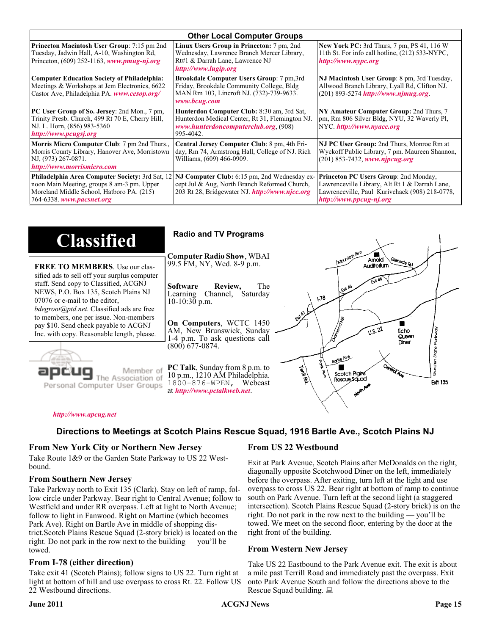| <b>Other Local Computer Groups</b>                                                                                                                                             |                                                                                                                                                           |                                                                                                                                                                      |  |  |
|--------------------------------------------------------------------------------------------------------------------------------------------------------------------------------|-----------------------------------------------------------------------------------------------------------------------------------------------------------|----------------------------------------------------------------------------------------------------------------------------------------------------------------------|--|--|
| <b>Princeton Macintosh User Group:</b> 7:15 pm 2nd<br>Tuesday, Jadwin Hall, A-10, Washington Rd,<br>Princeton, $(609)$ 252-1163, www.pmug-nj.org                               | Linux Users Group in Princeton: 7 pm, 2nd<br>Wednesday, Lawrence Branch Mercer Library,<br>Rt#1 & Darrah Lane, Lawrence NJ<br>http://www.lugip.org        | <b>New York PC:</b> 3rd Thurs, 7 pm, PS 41, 116 W<br>11th St. For info call hotline, (212) 533-NYPC,<br>http://www.nypc.org                                          |  |  |
| <b>Computer Education Society of Philadelphia:</b><br>Meetings & Workshops at Jem Electronics, 6622<br>Castor Ave, Philadelphia PA. www.cesop.org/                             | <b>Brookdale Computer Users Group:</b> 7 pm, 3rd<br>Friday, Brookdale Community College, Bldg<br>MAN Rm 103, Lincroft NJ. (732)-739-9633.<br>www.bcug.com | NJ Macintosh User Group: 8 pm, 3rd Tuesday,<br>Allwood Branch Library, Lyall Rd, Clifton NJ.<br>$(201)$ 893-5274 http://www.njmug.org                                |  |  |
| PC User Group of So. Jersey: 2nd Mon., 7 pm,<br>Trinity Presb. Church, 499 Rt 70 E, Cherry Hill,<br>NJ. L. Horn, (856) 983-5360<br>http://www.pcugsj.org                       | Hunterdon Computer Club: 8:30 am, 3rd Sat,<br>Hunterdon Medical Center, Rt 31, Flemington NJ.<br>www.hunterdoncomputerclub.org. (908)<br>995-4042.        | NY Amateur Computer Group: 2nd Thurs, 7<br>pm, Rm 806 Silver Bldg, NYU, 32 Waverly Pl,<br>NYC http://www.nyacc.org                                                   |  |  |
| Morris Micro Computer Club: 7 pm 2nd Thurs.,<br>Morris County Library, Hanover Ave, Morristown<br>NJ, (973) 267-0871.<br>http://www.morrismicro.com                            | Central Jersey Computer Club: 8 pm, 4th Fri-<br>day, Rm 74, Armstrong Hall, College of NJ. Rich<br>Williams, (609) 466-0909.                              | NJ PC User Group: 2nd Thurs, Monroe Rm at<br>Wyckoff Public Library, 7 pm. Maureen Shannon,<br>$(201)$ 853-7432, www.njpcug.org                                      |  |  |
| <b>Philadelphia Area Computer Society: 3rd Sat, 12</b><br>noon Main Meeting, groups 8 am-3 pm. Upper<br>Moreland Middle School, Hatboro PA. (215)<br>764-6338. www.pacsnet.org | NJ Computer Club: 6:15 pm, 2nd Wednesday ex-<br>cept Jul & Aug, North Branch Reformed Church,<br>203 Rt 28, Bridgewater NJ. http://www.njcc.org           | Princeton PC Users Group: 2nd Monday,<br>Lawrenceville Library, Alt Rt 1 & Darrah Lane,<br>Lawrenceville, Paul Kurivchack (908) 218-0778,<br>http://www.ppcug-nj.org |  |  |

| <b>Classified</b>                                                                                                                                                                                                                                                                                                                                                                             | <b>Radio and TV Programs</b>                                                                                                                                                                                                                                                                                                                                           |
|-----------------------------------------------------------------------------------------------------------------------------------------------------------------------------------------------------------------------------------------------------------------------------------------------------------------------------------------------------------------------------------------------|------------------------------------------------------------------------------------------------------------------------------------------------------------------------------------------------------------------------------------------------------------------------------------------------------------------------------------------------------------------------|
| <b>FREE TO MEMBERS.</b> Use our clas-<br>sified ads to sell off your surplus computer<br>stuff. Send copy to Classified, ACGNJ<br>NEWS, P.O. Box 135, Scotch Plains NJ<br>07076 or e-mail to the editor,<br><i>bdegroot@ptd.net.</i> Classified ads are free<br>to members, one per issue. Non-members<br>pay \$10. Send check payable to ACGNJ<br>Inc. with copy. Reasonable length, please. | IMOUNTON AVE<br><b>Computer Radio Show, WBAI</b><br>Amold<br>Slenside Rd<br>99.5 FM, NY, Wed. 8-9 p.m.<br>Auditorium<br>The<br><b>Software</b><br>Review,<br>L Exit A3<br>Channel, Saturday<br>Learning<br>$\sqrt{3}$<br>$10-10:30$ p.m.<br>On Computers, WCTC 1450<br>0.5.22<br>AM, New Brunswick, Sunday<br>Echo<br>Queen<br>1-4 p.m. To ask questions call<br>Diner |
| Member of<br>ociation of<br>Personal Computer User Groups                                                                                                                                                                                                                                                                                                                                     | $(800)$ 677-0874.<br>ភូ<br>ភ្ន<br>Borle Ave<br>É<br><b>Cantrol Ave</b><br>PC Talk, Sunday from 8 p.m. to<br><b>Termited</b><br>Scotch Plains<br>10 p.m., 1210 AM Philadelphia.<br>Rescue Sound<br><b>Ext 135</b><br>1800-876-WPEN, Webcast<br>at http://www.pctalkweb.net.<br>$\mathbf{v}^{\mathbf{c}^{\prime}}$                                                       |

#### *<http://www.apcug.net>*

### **Directions to Meetings at Scotch Plains Rescue Squad, 1916 Bartle Ave., Scotch Plains NJ**

#### **From New York City or Northern New Jersey**

Take Route 1&9 or the Garden State Parkway to US 22 Westbound.

#### **From Southern New Jersey**

Take Parkway north to Exit 135 (Clark). Stay on left of ramp, follow circle under Parkway. Bear right to Central Avenue; follow to Westfield and under RR overpass. Left at light to North Avenue; follow to light in Fanwood. Right on Martine (which becomes Park Ave). Right on Bartle Ave in middle of shopping district.Scotch Plains Rescue Squad (2-story brick) is located on the right. Do not park in the row next to the building — you'll be towed.

### **From I-78 (either direction)**

Take exit 41 (Scotch Plains); follow signs to US 22. Turn right at light at bottom of hill and use overpass to cross Rt. 22. Follow US 22 Westbound directions.

### **From US 22 Westbound**

Exit at Park Avenue, Scotch Plains after McDonalds on the right, diagonally opposite Scotchwood Diner on the left, immediately before the overpass. After exiting, turn left at the light and use overpass to cross US 22. Bear right at bottom of ramp to continue south on Park Avenue. Turn left at the second light (a staggered intersection). Scotch Plains Rescue Squad (2-story brick) is on the right. Do not park in the row next to the building — you'll be towed. We meet on the second floor, entering by the door at the right front of the building.

### **From Western New Jersey**

Take US 22 Eastbound to the Park Avenue exit. The exit is about a mile past Terrill Road and immediately past the overpass. Exit onto Park Avenue South and follow the directions above to the Rescue Squad building.